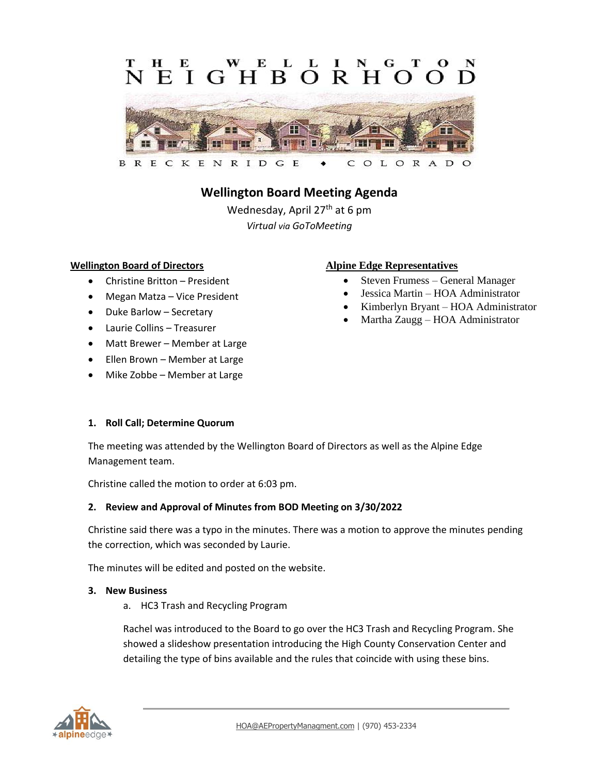### L  $E$ IGHBORH  $\Omega$



# **Wellington Board Meeting Agenda**

Wednesday, April 27<sup>th</sup> at 6 pm *Virtual via GoToMeeting*

#### **Wellington Board of Directors**

- Christine Britton President
- Megan Matza Vice President
- Duke Barlow Secretary
- Laurie Collins Treasurer
- Matt Brewer Member at Large
- Ellen Brown Member at Large
- Mike Zobbe Member at Large

#### **Alpine Edge Representatives**

- Steven Frumess General Manager
- Jessica Martin HOA Administrator
- Kimberlyn Bryant HOA Administrator
- Martha Zaugg HOA Administrator

# **1. Roll Call; Determine Quorum**

The meeting was attended by the Wellington Board of Directors as well as the Alpine Edge Management team.

Christine called the motion to order at 6:03 pm.

#### **2. Review and Approval of Minutes from BOD Meeting on 3/30/2022**

Christine said there was a typo in the minutes. There was a motion to approve the minutes pending the correction, which was seconded by Laurie.

The minutes will be edited and posted on the website.

#### **3. New Business**

a. HC3 Trash and Recycling Program

Rachel was introduced to the Board to go over the HC3 Trash and Recycling Program. She showed a slideshow presentation introducing the High County Conservation Center and detailing the type of bins available and the rules that coincide with using these bins.

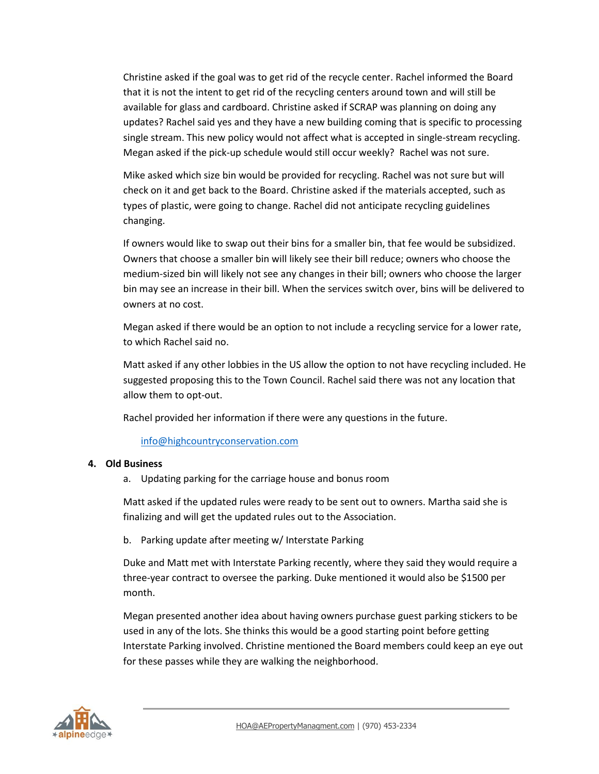Christine asked if the goal was to get rid of the recycle center. Rachel informed the Board that it is not the intent to get rid of the recycling centers around town and will still be available for glass and cardboard. Christine asked if SCRAP was planning on doing any updates? Rachel said yes and they have a new building coming that is specific to processing single stream. This new policy would not affect what is accepted in single-stream recycling. Megan asked if the pick-up schedule would still occur weekly? Rachel was not sure.

Mike asked which size bin would be provided for recycling. Rachel was not sure but will check on it and get back to the Board. Christine asked if the materials accepted, such as types of plastic, were going to change. Rachel did not anticipate recycling guidelines changing.

If owners would like to swap out their bins for a smaller bin, that fee would be subsidized. Owners that choose a smaller bin will likely see their bill reduce; owners who choose the medium-sized bin will likely not see any changes in their bill; owners who choose the larger bin may see an increase in their bill. When the services switch over, bins will be delivered to owners at no cost.

Megan asked if there would be an option to not include a recycling service for a lower rate, to which Rachel said no.

Matt asked if any other lobbies in the US allow the option to not have recycling included. He suggested proposing this to the Town Council. Rachel said there was not any location that allow them to opt-out.

Rachel provided her information if there were any questions in the future.

[info@highcountryconservation.com](mailto:info@highcountryconservation.com)

# **4. Old Business**

a. Updating parking for the carriage house and bonus room

Matt asked if the updated rules were ready to be sent out to owners. Martha said she is finalizing and will get the updated rules out to the Association.

b. Parking update after meeting w/ Interstate Parking

Duke and Matt met with Interstate Parking recently, where they said they would require a three-year contract to oversee the parking. Duke mentioned it would also be \$1500 per month.

Megan presented another idea about having owners purchase guest parking stickers to be used in any of the lots. She thinks this would be a good starting point before getting Interstate Parking involved. Christine mentioned the Board members could keep an eye out for these passes while they are walking the neighborhood.